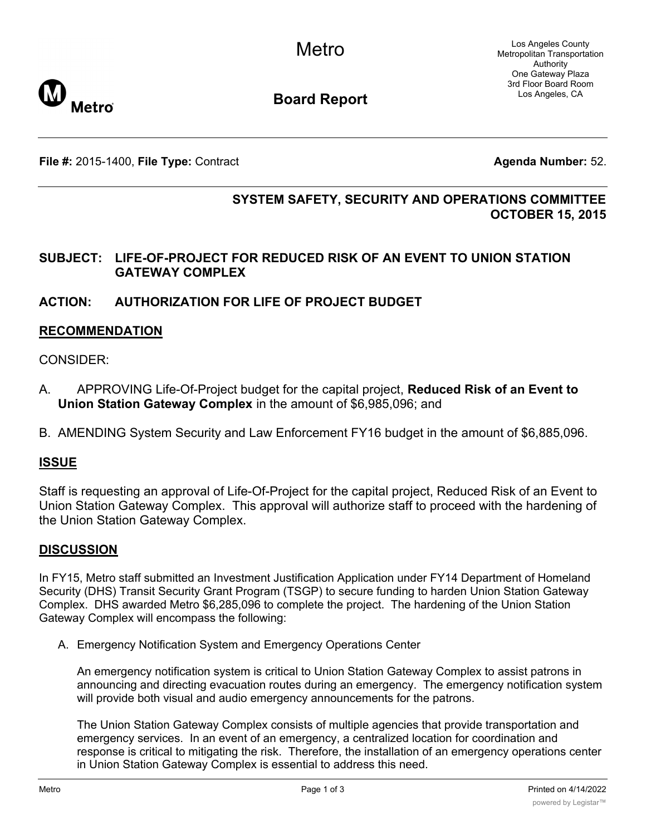

**Board Report**

**File #:** 2015-1400, File Type: Contract **Agents Agenda Number:** 52.

# **SYSTEM SAFETY, SECURITY AND OPERATIONS COMMITTEE OCTOBER 15, 2015**

### **SUBJECT: LIFE-OF-PROJECT FOR REDUCED RISK OF AN EVENT TO UNION STATION GATEWAY COMPLEX**

### **ACTION: AUTHORIZATION FOR LIFE OF PROJECT BUDGET**

### **RECOMMENDATION**

### CONSIDER:

- A. APPROVING Life-Of-Project budget for the capital project, **Reduced Risk of an Event to Union Station Gateway Complex** in the amount of \$6,985,096; and
- B. AMENDING System Security and Law Enforcement FY16 budget in the amount of \$6,885,096.

### **ISSUE**

Staff is requesting an approval of Life-Of-Project for the capital project, Reduced Risk of an Event to Union Station Gateway Complex. This approval will authorize staff to proceed with the hardening of the Union Station Gateway Complex.

#### **DISCUSSION**

In FY15, Metro staff submitted an Investment Justification Application under FY14 Department of Homeland Security (DHS) Transit Security Grant Program (TSGP) to secure funding to harden Union Station Gateway Complex. DHS awarded Metro \$6,285,096 to complete the project. The hardening of the Union Station Gateway Complex will encompass the following:

A. Emergency Notification System and Emergency Operations Center

An emergency notification system is critical to Union Station Gateway Complex to assist patrons in announcing and directing evacuation routes during an emergency. The emergency notification system will provide both visual and audio emergency announcements for the patrons.

The Union Station Gateway Complex consists of multiple agencies that provide transportation and emergency services. In an event of an emergency, a centralized location for coordination and response is critical to mitigating the risk. Therefore, the installation of an emergency operations center in Union Station Gateway Complex is essential to address this need.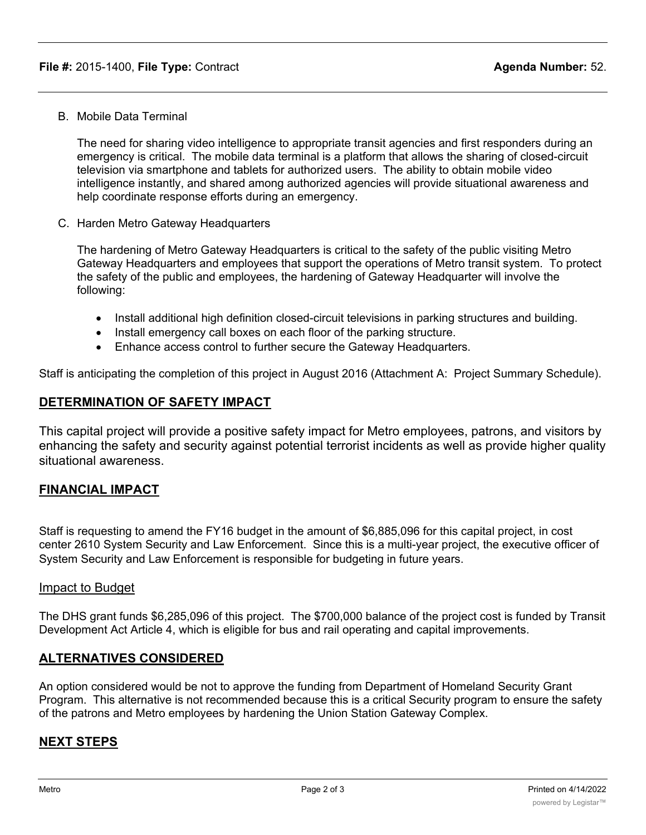B. Mobile Data Terminal

The need for sharing video intelligence to appropriate transit agencies and first responders during an emergency is critical. The mobile data terminal is a platform that allows the sharing of closed-circuit television via smartphone and tablets for authorized users. The ability to obtain mobile video intelligence instantly, and shared among authorized agencies will provide situational awareness and help coordinate response efforts during an emergency.

C. Harden Metro Gateway Headquarters

The hardening of Metro Gateway Headquarters is critical to the safety of the public visiting Metro Gateway Headquarters and employees that support the operations of Metro transit system. To protect the safety of the public and employees, the hardening of Gateway Headquarter will involve the following:

- · Install additional high definition closed-circuit televisions in parking structures and building.
- Install emergency call boxes on each floor of the parking structure.
- · Enhance access control to further secure the Gateway Headquarters.

Staff is anticipating the completion of this project in August 2016 (Attachment A: Project Summary Schedule).

#### **DETERMINATION OF SAFETY IMPACT**

This capital project will provide a positive safety impact for Metro employees, patrons, and visitors by enhancing the safety and security against potential terrorist incidents as well as provide higher quality situational awareness.

#### **FINANCIAL IMPACT**

Staff is requesting to amend the FY16 budget in the amount of \$6,885,096 for this capital project, in cost center 2610 System Security and Law Enforcement. Since this is a multi-year project, the executive officer of System Security and Law Enforcement is responsible for budgeting in future years.

#### Impact to Budget

The DHS grant funds \$6,285,096 of this project. The \$700,000 balance of the project cost is funded by Transit Development Act Article 4, which is eligible for bus and rail operating and capital improvements.

#### **ALTERNATIVES CONSIDERED**

An option considered would be not to approve the funding from Department of Homeland Security Grant Program. This alternative is not recommended because this is a critical Security program to ensure the safety of the patrons and Metro employees by hardening the Union Station Gateway Complex.

#### **NEXT STEPS**